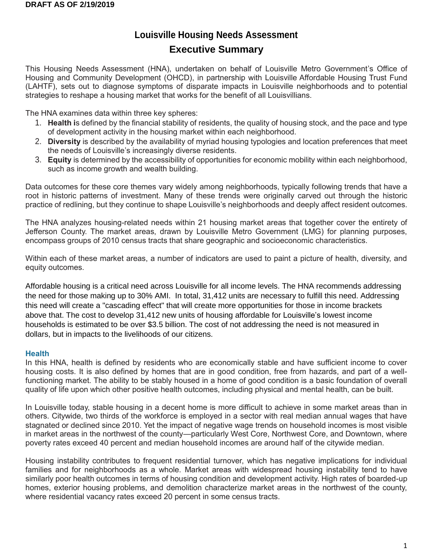# **Louisville Housing Needs Assessment Executive Summary**

This Housing Needs Assessment (HNA), undertaken on behalf of Louisville Metro Government's Office of Housing and Community Development (OHCD), in partnership with Louisville Affordable Housing Trust Fund (LAHTF), sets out to diagnose symptoms of disparate impacts in Louisville neighborhoods and to potential strategies to reshape a housing market that works for the benefit of all Louisvillians. **C**

The HNA examines data within three key spheres:

- 1. **Health i**s defined by the financial stability of residents, the quality of housing stock, and the pace and type of development activity in the housing market within each neighborhood.
- 2. **Diversity** is described by the availability of myriad housing typologies and location preferences that meet the needs of Louisville's increasingly diverse residents.
- 3. **Equity** is determined by the accessibility of opportunities for economic mobility within each neighborhood, such as income growth and wealth building.

Data outcomes for these core themes vary widely among neighborhoods, typically following trends that have a root in historic patterns of investment. Many of these trends were originally carved out through the historic practice of redlining, but they continue to shape Louisville's neighborhoods and deeply affect resident outcomes.

The HNA analyzes housing-related needs within 21 housing market areas that together cover the entirety of Jefferson County. The market areas, drawn by Louisville Metro Government (LMG) for planning purposes, encompass groups of 2010 census tracts that share geographic and socioeconomic characteristics.

Within each of these market areas, a number of indicators are used to paint a picture of health, diversity, and equity outcomes.

Affordable housing is a critical need across Louisville for all income levels. The HNA recommends addressing the need for those making up to 30% AMI. In total, 31,412 units are necessary to fulfill this need. Addressing this need will create a "cascading effect" that will create more opportunities for those in income brackets above that. The cost to develop 31,412 new units of housing affordable for Louisville's lowest income households is estimated to be over \$3.5 billion. The cost of not addressing the need is not measured in dollars, but in impacts to the livelihoods of our citizens.

## **Health**

In this HNA, health is defined by residents who are economically stable and have sufficient income to cover housing costs. It is also defined by homes that are in good condition, free from hazards, and part of a wellfunctioning market. The ability to be stably housed in a home of good condition is a basic foundation of overall quality of life upon which other positive health outcomes, including physical and mental health, can be built.

In Louisville today, stable housing in a decent home is more difficult to achieve in some market areas than in others. Citywide, two thirds of the workforce is employed in a sector with real median annual wages that have stagnated or declined since 2010. Yet the impact of negative wage trends on household incomes is most visible in market areas in the northwest of the county—particularly West Core, Northwest Core, and Downtown, where poverty rates exceed 40 percent and median household incomes are around half of the citywide median.

Housing instability contributes to frequent residential turnover, which has negative implications for individual families and for neighborhoods as a whole. Market areas with widespread housing instability tend to have similarly poor health outcomes in terms of housing condition and development activity. High rates of boarded-up homes, exterior housing problems, and demolition characterize market areas in the northwest of the county, where residential vacancy rates exceed 20 percent in some census tracts.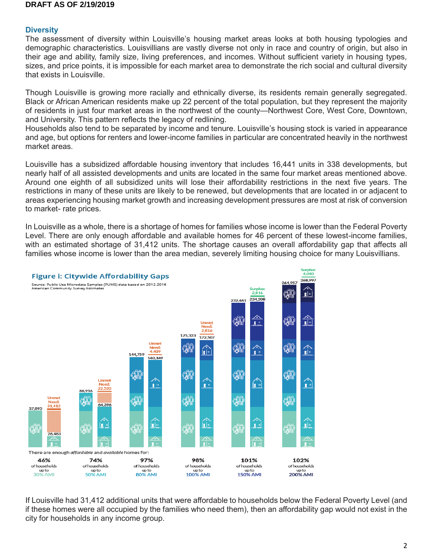## **Diversity**

The assessment of diversity within Louisville's housing market areas looks at both housing typologies and demographic characteristics. Louisvillians are vastly diverse not only in race and country of origin, but also in their age and ability, family size, living preferences, and incomes. Without sufficient variety in housing types, sizes, and price points, it is impossible for each market area to demonstrate the rich social and cultural diversity that exists in Louisville.

Though Louisville is growing more racially and ethnically diverse, its residents remain generally segregated. Black or African American residents make up 22 percent of the total population, but they represent the majority of residents in just four market areas in the northwest of the county—Northwest Core, West Core, Downtown, and University. This pattern reflects the legacy of redlining.

Households also tend to be separated by income and tenure. Louisville's housing stock is varied in appearance and age, but options for renters and lower-income families in particular are concentrated heavily in the northwest market areas.

Louisville has a subsidized affordable housing inventory that includes 16,441 units in 338 developments, but nearly half of all assisted developments and units are located in the same four market areas mentioned above. Around one eighth of all subsidized units will lose their affordability restrictions in the next five years. The restrictions in many of these units are likely to be renewed, but developments that are located in or adjacent to areas experiencing housing market growth and increasing development pressures are most at risk of conversion to market- rate prices.

In Louisville as a whole, there is a shortage of homes for families whose income is lower than the Federal Poverty Level. There are only enough affordable and available homes for 46 percent of these lowest-income families, with an estimated shortage of 31,412 units. The shortage causes an overall affordability gap that affects all families whose income is lower than the area median, severely limiting housing choice for many Louisvillians.



If Louisville had 31,412 additional units that were affordable to households below the Federal Poverty Level (and if these homes were all occupied by the families who need them), then an affordability gap would not exist in the city for households in any income group.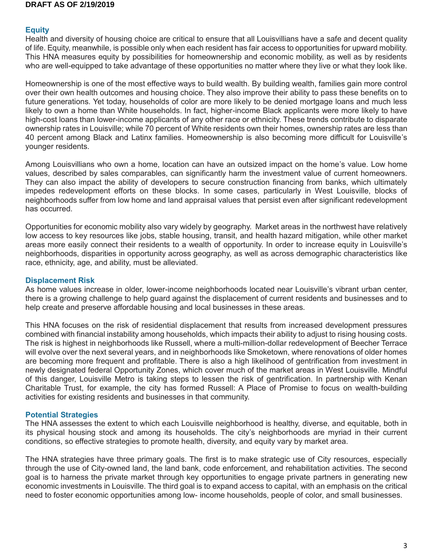## **Equity**

Health and diversity of housing choice are critical to ensure that all Louisvillians have a safe and decent quality of life. Equity, meanwhile, is possible only when each resident has fair access to opportunities for upward mobility. This HNA measures equity by possibilities for homeownership and economic mobility, as well as by residents who are well-equipped to take advantage of these opportunities no matter where they live or what they look like.

Homeownership is one of the most effective ways to build wealth. By building wealth, families gain more control over their own health outcomes and housing choice. They also improve their ability to pass these benefits on to future generations. Yet today, households of color are more likely to be denied mortgage loans and much less likely to own a home than White households. In fact, higher-income Black applicants were more likely to have high-cost loans than lower-income applicants of any other race or ethnicity. These trends contribute to disparate ownership rates in Louisville; while 70 percent of White residents own their homes, ownership rates are less than 40 percent among Black and Latinx families. Homeownership is also becoming more difficult for Louisville's younger residents.

Among Louisvillians who own a home, location can have an outsized impact on the home's value. Low home values, described by sales comparables, can significantly harm the investment value of current homeowners. They can also impact the ability of developers to secure construction financing from banks, which ultimately impedes redevelopment efforts on these blocks. In some cases, particularly in West Louisville, blocks of neighborhoods suffer from low home and land appraisal values that persist even after significant redevelopment has occurred.

Opportunities for economic mobility also vary widely by geography. Market areas in the northwest have relatively low access to key resources like jobs, stable housing, transit, and health hazard mitigation, while other market areas more easily connect their residents to a wealth of opportunity. In order to increase equity in Louisville's neighborhoods, disparities in opportunity across geography, as well as across demographic characteristics like race, ethnicity, age, and ability, must be alleviated.

## **Displacement Risk**

As home values increase in older, lower-income neighborhoods located near Louisville's vibrant urban center, there is a growing challenge to help guard against the displacement of current residents and businesses and to help create and preserve affordable housing and local businesses in these areas.

This HNA focuses on the risk of residential displacement that results from increased development pressures combined with financial instability among households, which impacts their ability to adjust to rising housing costs. The risk is highest in neighborhoods like Russell, where a multi-million-dollar redevelopment of Beecher Terrace will evolve over the next several years, and in neighborhoods like Smoketown, where renovations of older homes are becoming more frequent and profitable. There is also a high likelihood of gentrification from investment in newly designated federal Opportunity Zones, which cover much of the market areas in West Louisville. Mindful of this danger, Louisville Metro is taking steps to lessen the risk of gentrification. In partnership with Kenan Charitable Trust, for example, the city has formed Russell: A Place of Promise to focus on wealth-building activities for existing residents and businesses in that community.

## **Potential Strategies**

The HNA assesses the extent to which each Louisville neighborhood is healthy, diverse, and equitable, both in its physical housing stock and among its households. The city's neighborhoods are myriad in their current conditions, so effective strategies to promote health, diversity, and equity vary by market area.

The HNA strategies have three primary goals. The first is to make strategic use of City resources, especially through the use of City-owned land, the land bank, code enforcement, and rehabilitation activities. The second goal is to harness the private market through key opportunities to engage private partners in generating new economic investments in Louisville. The third goal is to expand access to capital, with an emphasis on the critical need to foster economic opportunities among low- income households, people of color, and small businesses.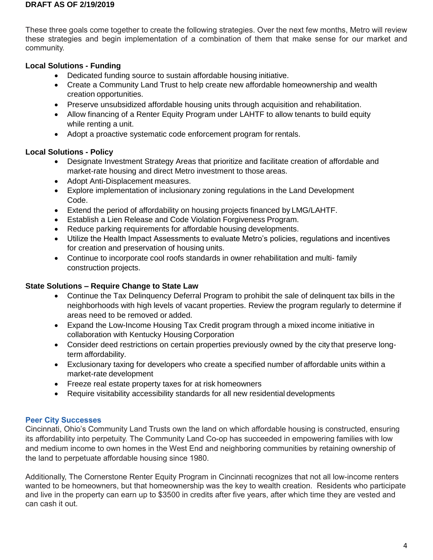These three goals come together to create the following strategies. Over the next few months, Metro will review these strategies and begin implementation of a combination of them that make sense for our market and community.

# **Local Solutions - Funding**

- Dedicated funding source to sustain affordable housing initiative.
- Create a Community Land Trust to help create new affordable homeownership and wealth creation opportunities.
- Preserve unsubsidized affordable housing units through acquisition and rehabilitation.
- Allow financing of a Renter Equity Program under LAHTF to allow tenants to build equity while renting a unit.
- Adopt a proactive systematic code enforcement program for rentals.

# **Local Solutions - Policy**

- Designate Investment Strategy Areas that prioritize and facilitate creation of affordable and market-rate housing and direct Metro investment to those areas.
- Adopt Anti-Displacement measures.
- Explore implementation of inclusionary zoning regulations in the Land Development Code.
- Extend the period of affordability on housing projects financed by LMG/LAHTF.
- Establish a Lien Release and Code Violation Forgiveness Program.
- Reduce parking requirements for affordable housing developments.
- Utilize the Health Impact Assessments to evaluate Metro's policies, regulations and incentives for creation and preservation of housing units.
- Continue to incorporate cool roofs standards in owner rehabilitation and multi- family construction projects.

# **State Solutions – Require Change to State Law**

- Continue the Tax Delinquency Deferral Program to prohibit the sale of delinquent tax bills in the neighborhoods with high levels of vacant properties. Review the program regularly to determine if areas need to be removed or added.
- Expand the Low-Income Housing Tax Credit program through a mixed income initiative in collaboration with Kentucky Housing Corporation
- Consider deed restrictions on certain properties previously owned by the city that preserve longterm affordability.
- Exclusionary taxing for developers who create a specified number of affordable units within a market-rate development
- Freeze real estate property taxes for at risk homeowners
- Require visitability accessibility standards for all new residential developments

# **Peer City Successes**

Cincinnati, Ohio's Community Land Trusts own the land on which affordable housing is constructed, ensuring its affordability into perpetuity. The Community Land Co-op has succeeded in empowering families with low and medium income to own homes in the West End and neighboring communities by retaining ownership of the land to perpetuate affordable housing since 1980.

Additionally, The Cornerstone Renter Equity Program in Cincinnati recognizes that not all low-income renters wanted to be homeowners, but that homeownership was the key to wealth creation. Residents who participate and live in the property can earn up to \$3500 in credits after five years, after which time they are vested and can cash it out.